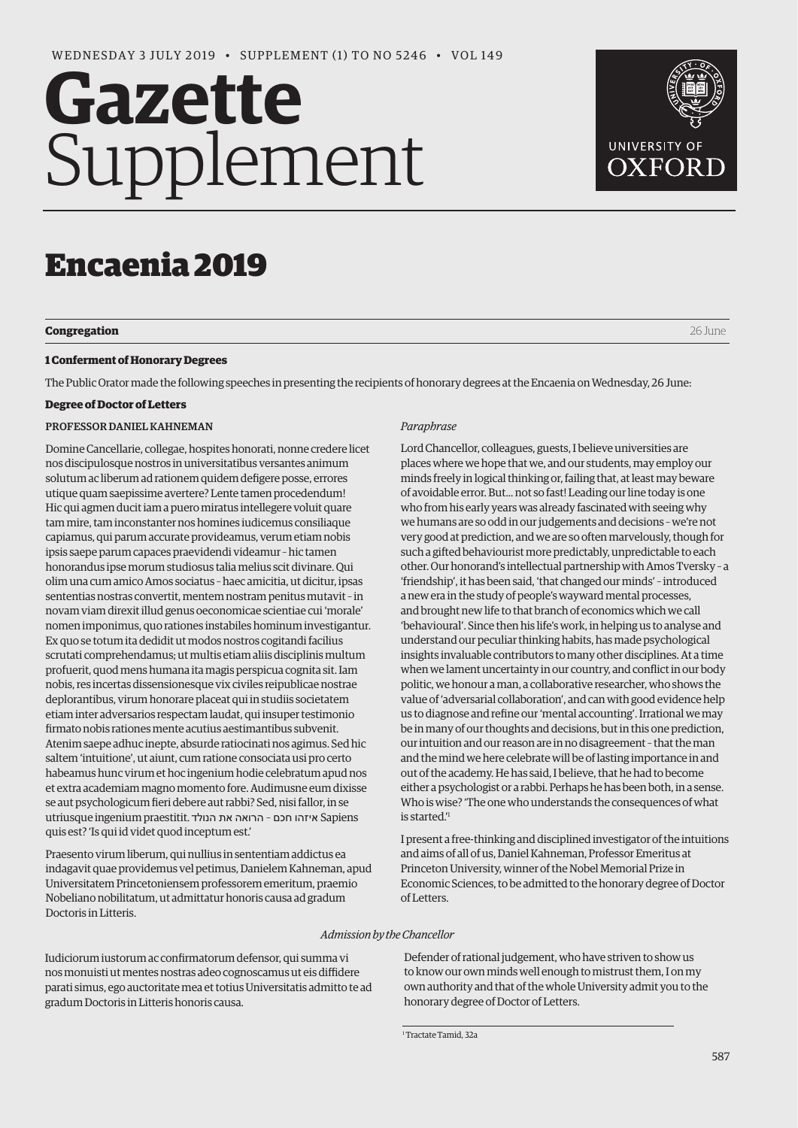# Gazette Supplement



# Encaenia 2019

## **Congregation** 26 June

## **1 Conferment of Honorary Degrees**

The Public Orator made the following speeches in presenting the recipients of honorary degrees at the Encaenia on Wednesday, 26 June:

## **Degree of Doctor of Letters**

## PROFESSOR DANIEL KAHNEMAN

Domine Cancellarie, collegae, hospites honorati, nonne credere licet nos discipulosque nostros in universitatibus versantes animum solutum ac liberum ad rationem quidem defigere posse, errores utique quam saepissime avertere? Lente tamen procedendum! Hic qui agmen ducit iam a puero miratus intellegere voluit quare tam mire, tam inconstanter nos homines iudicemus consiliaque capiamus, qui parum accurate provideamus, verum etiam nobis ipsis saepe parum capaces praevidendi videamur – hic tamen honorandus ipse morum studiosus talia melius scit divinare. Qui olim una cum amico Amos sociatus – haec amicitia, ut dicitur, ipsas sententias nostras convertit, mentem nostram penitus mutavit – in novam viam direxit illud genus oeconomicae scientiae cui 'morale' nomen imponimus, quo rationes instabiles hominum investigantur. Ex quo se totum ita dedidit ut modos nostros cogitandi facilius scrutati comprehendamus; ut multis etiam aliis disciplinis multum profuerit, quod mens humana ita magis perspicua cognita sit. Iam nobis, res incertas dissensionesque vix civiles reipublicae nostrae deplorantibus, virum honorare placeat qui in studiis societatem etiam inter adversarios respectam laudat, qui insuper testimonio firmato nobis rationes mente acutius aestimantibus subvenit. Atenim saepe adhuc inepte, absurde ratiocinati nos agimus. Sed hic saltem 'intuitione', ut aiunt, cum ratione consociata usi pro certo habeamus hunc virum et hoc ingenium hodie celebratum apud nos et extra academiam magno momento fore. Audimusne eum dixisse se aut psychologicum fieri debere aut rabbi? Sed, nisi fallor, in se utriusque ingenium praestitit. איזהו חכם - הרואה את הנולד quis est? 'Is qui id videt quod inceptum est.'

Praesento virum liberum, qui nullius in sententiam addictus ea indagavit quae providemus vel petimus, Danielem Kahneman, apud Universitatem Princetoniensem professorem emeritum, praemio Nobeliano nobilitatum, ut admittatur honoris causa ad gradum Doctoris in Litteris.

## *Paraphrase*

Lord Chancellor, colleagues, guests, I believe universities are places where we hope that we, and our students, may employ our minds freely in logical thinking or, failing that, at least may beware of avoidable error. But... not so fast! Leading our line today is one who from his early years was already fascinated with seeing why we humans are so odd in our judgements and decisions – we're not very good at prediction, and we are so often marvelously, though for such a gifted behaviourist more predictably, unpredictable to each other. Our honorand's intellectual partnership with Amos Tversky – a 'friendship', it has been said, 'that changed our minds' – introduced a new era in the study of people's wayward mental processes, and brought new life to that branch of economics which we call 'behavioural'. Since then his life's work, in helping us to analyse and understand our peculiar thinking habits, has made psychological insights invaluable contributors to many other disciplines. At a time when we lament uncertainty in our country, and conflict in our body politic, we honour a man, a collaborative researcher, who shows the value of 'adversarial collaboration', and can with good evidence help us to diagnose and refine our 'mental accounting'. Irrational we may be in many of our thoughts and decisions, but in this one prediction, our intuition and our reason are in no disagreement – that the man and the mind we here celebrate will be of lasting importance in and out of the academy. He has said, I believe, that he had to become either a psychologist or a rabbi. Perhaps he has been both, in a sense. Who is wise? 'The one who understands the consequences of what is started.'1

I present a free-thinking and disciplined investigator of the intuitions and aims of all of us, Daniel Kahneman, Professor Emeritus at Princeton University, winner of the Nobel Memorial Prize in Economic Sciences, to be admitted to the honorary degree of Doctor of Letters.

# *Admission by the Chancellor*

Iudiciorum iustorum ac confirmatorum defensor, qui summa vi nos monuisti ut mentes nostras adeo cognoscamus ut eis diffidere parati simus, ego auctoritate mea et totius Universitatis admitto te ad gradum Doctoris in Litteris honoris causa.

Defender of rational judgement, who have striven to show us to know our own minds well enough to mistrust them, I on my own authority and that of the whole University admit you to the honorary degree of Doctor of Letters.

<sup>1</sup> Tractate Tamid, 32a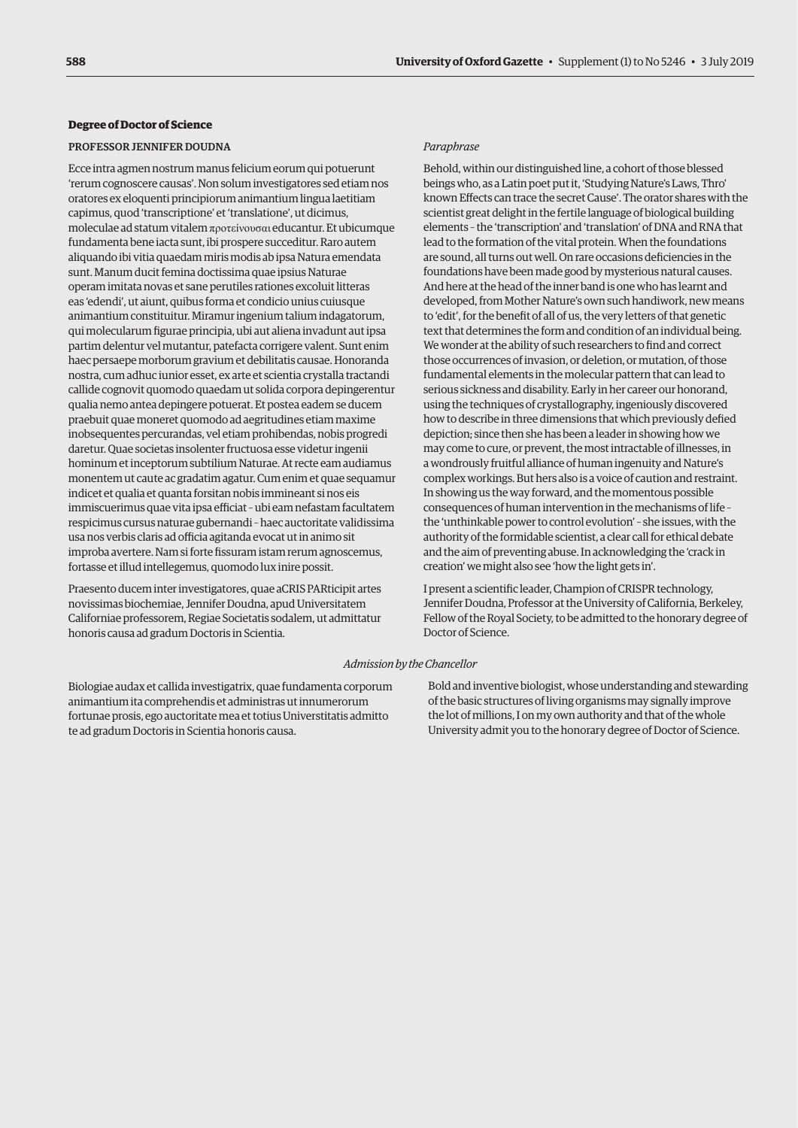## **Degree of Doctor of Science**

#### PROFESSOR JENNIFER DOUDNA

Ecce intra agmen nostrum manus felicium eorum qui potuerunt 'rerum cognoscere causas'. Non solum investigatores sed etiam nos oratores ex eloquenti principiorum animantium lingua laetitiam capimus, quod 'transcriptione' et 'translatione', ut dicimus, moleculae ad statum vitalem προτεíνουσαι educantur. Et ubicumque fundamenta bene iacta sunt, ibi prospere succeditur. Raro autem aliquando ibi vitia quaedam miris modis ab ipsa Natura emendata sunt. Manum ducit femina doctissima quae ipsius Naturae operam imitata novas et sane perutiles rationes excoluit litteras eas 'edendi', ut aiunt, quibus forma et condicio unius cuiusque animantium constituitur. Miramur ingenium talium indagatorum, qui molecularum figurae principia, ubi aut aliena invadunt aut ipsa partim delentur vel mutantur, patefacta corrigere valent. Sunt enim haec persaepe morborum gravium et debilitatis causae. Honoranda nostra, cum adhuc iunior esset, ex arte et scientia crystalla tractandi callide cognovit quomodo quaedam ut solida corpora depingerentur qualia nemo antea depingere potuerat. Et postea eadem se ducem praebuit quae moneret quomodo ad aegritudines etiam maxime inobsequentes percurandas, vel etiam prohibendas, nobis progredi daretur. Quae societas insolenter fructuosa esse videtur ingenii hominum et inceptorum subtilium Naturae. At recte eam audiamus monentem ut caute ac gradatim agatur. Cum enim et quae sequamur indicet et qualia et quanta forsitan nobis immineant si nos eis immiscuerimus quae vita ipsa efficiat – ubi eam nefastam facultatem respicimus cursus naturae gubernandi – haec auctoritate validissima usa nos verbis claris ad officia agitanda evocat ut in animo sit improba avertere. Nam si forte fissuram istam rerum agnoscemus, fortasse et illud intellegemus, quomodo lux inire possit.

Praesento ducem inter investigatores, quae aCRIS PARticipit artes novissimas biochemiae, Jennifer Doudna, apud Universitatem Californiae professorem, Regiae Societatis sodalem, ut admittatur honoris causa ad gradum Doctoris in Scientia.

#### *Paraphrase*

Behold, within our distinguished line, a cohort of those blessed beings who, as a Latin poet put it, 'Studying Nature's Laws, Thro' known Effects can trace the secret Cause'. The orator shares with the scientist great delight in the fertile language of biological building elements – the 'transcription' and 'translation' of DNA and RNA that lead to the formation of the vital protein. When the foundations are sound, all turns out well. On rare occasions deficiencies in the foundations have been made good by mysterious natural causes. And here at the head of the inner band is one who has learnt and developed, from Mother Nature's own such handiwork, new means to 'edit', for the benefit of all of us, the very letters of that genetic text that determines the form and condition of an individual being. We wonder at the ability of such researchers to find and correct those occurrences of invasion, or deletion, or mutation, of those fundamental elements in the molecular pattern that can lead to serious sickness and disability. Early in her career our honorand, using the techniques of crystallography, ingeniously discovered how to describe in three dimensions that which previously defied depiction; since then she has been a leader in showing how we may come to cure, or prevent, the most intractable of illnesses, in a wondrously fruitful alliance of human ingenuity and Nature's complex workings. But hers also is a voice of caution and restraint. In showing us the way forward, and the momentous possible consequences of human intervention in the mechanisms of life – the 'unthinkable power to control evolution' – she issues, with the authority of the formidable scientist, a clear call for ethical debate and the aim of preventing abuse. In acknowledging the 'crack in creation' we might also see 'how the light gets in'.

I present a scientific leader, Champion of CRISPR technology, Jennifer Doudna, Professor at the University of California, Berkeley, Fellow of the Royal Society, to be admitted to the honorary degree of Doctor of Science.

#### *Admission by the Chancellor*

Biologiae audax et callida investigatrix, quae fundamenta corporum animantium ita comprehendis et administras ut innumerorum fortunae prosis, ego auctoritate mea et totius Universtitatis admitto te ad gradum Doctoris in Scientia honoris causa.

Bold and inventive biologist, whose understanding and stewarding of the basic structures of living organisms may signally improve the lot of millions, I on my own authority and that of the whole University admit you to the honorary degree of Doctor of Science.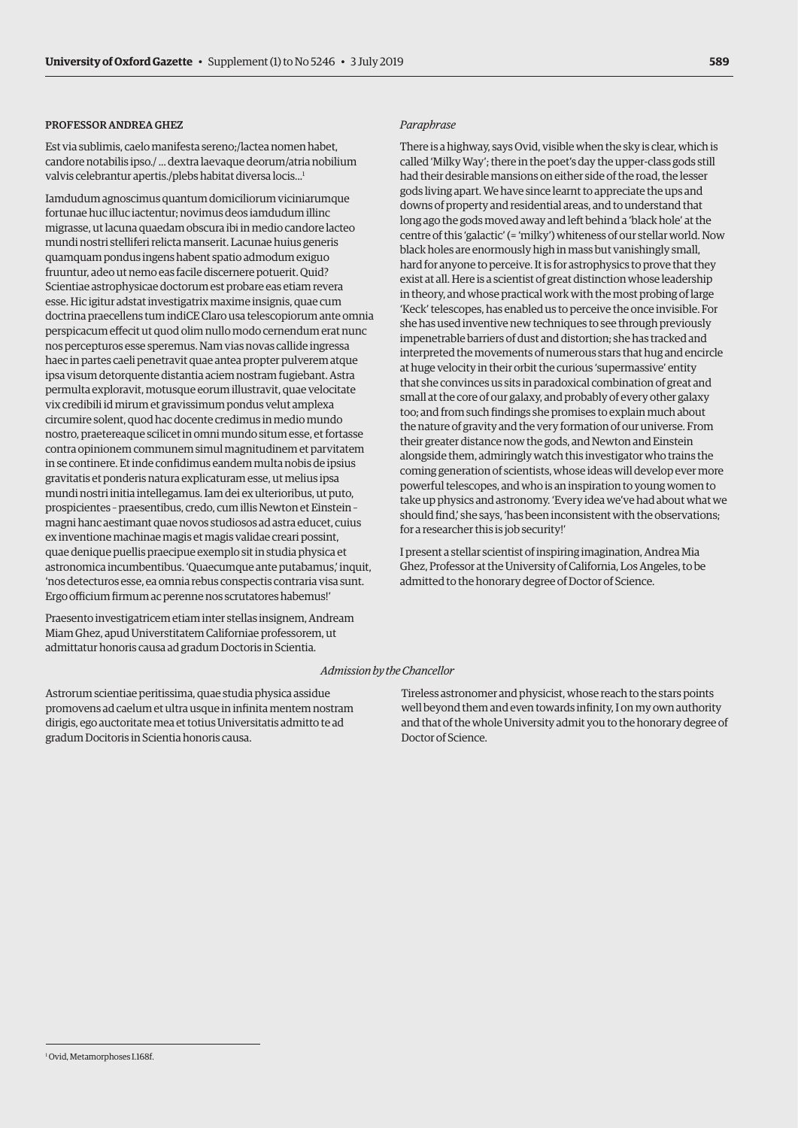# PROFESSOR ANDREA GHEZ

Est via sublimis, caelo manifesta sereno;/lactea nomen habet, candore notabilis ipso./ ... dextra laevaque deorum/atria nobilium valvis celebrantur apertis./plebs habitat diversa locis...<sup>1</sup>

Iamdudum agnoscimus quantum domiciliorum viciniarumque fortunae huc illuc iactentur; novimus deos iamdudum illinc migrasse, ut lacuna quaedam obscura ibi in medio candore lacteo mundi nostri stelliferi relicta manserit. Lacunae huius generis quamquam pondus ingens habent spatio admodum exiguo fruuntur, adeo ut nemo eas facile discernere potuerit. Quid? Scientiae astrophysicae doctorum est probare eas etiam revera esse. Hic igitur adstat investigatrix maxime insignis, quae cum doctrina praecellens tum indiCE Claro usa telescopiorum ante omnia perspicacum effecit ut quod olim nullo modo cernendum erat nunc nos percepturos esse speremus. Nam vias novas callide ingressa haec in partes caeli penetravit quae antea propter pulverem atque ipsa visum detorquente distantia aciem nostram fugiebant. Astra permulta exploravit, motusque eorum illustravit, quae velocitate vix credibili id mirum et gravissimum pondus velut amplexa circumire solent, quod hac docente credimus in medio mundo nostro, praetereaque scilicet in omni mundo situm esse, et fortasse contra opinionem communem simul magnitudinem et parvitatem in se continere. Et inde confidimus eandem multa nobis de ipsius gravitatis et ponderis natura explicaturam esse, ut melius ipsa mundi nostri initia intellegamus. Iam dei ex ulterioribus, ut puto, prospicientes – praesentibus, credo, cum illis Newton et Einstein – magni hanc aestimant quae novos studiosos ad astra educet, cuius ex inventione machinae magis et magis validae creari possint, quae denique puellis praecipue exemplo sit in studia physica et astronomica incumbentibus. 'Ouaecumque ante putabamus,' inquit, 'nos detecturos esse, ea omnia rebus conspectis contraria visa sunt. Ergo officium firmum ac perenne nos scrutatores habemus!'

Praesento investigatricem etiam inter stellas insignem, Andream Miam Ghez, apud Universtitatem Californiae professorem, ut admittatur honoris causa ad gradum Doctoris in Scientia.

# *Paraphrase*

There is a highway, says Ovid, visible when the sky is clear, which is called 'Milky Way'; there in the poet's day the upper-class gods still had their desirable mansions on either side of the road, the lesser gods living apart. We have since learnt to appreciate the ups and downs of property and residential areas, and to understand that long ago the gods moved away and left behind a 'black hole' at the centre of this 'galactic' (= 'milky') whiteness of our stellar world. Now black holes are enormously high in mass but vanishingly small, hard for anyone to perceive. It is for astrophysics to prove that they exist at all. Here is a scientist of great distinction whose leadership in theory, and whose practical work with the most probing of large 'Keck' telescopes, has enabled us to perceive the once invisible. For she has used inventive new techniques to see through previously impenetrable barriers of dust and distortion; she has tracked and interpreted the movements of numerous stars that hug and encircle at huge velocity in their orbit the curious 'supermassive' entity that she convinces us sits in paradoxical combination of great and small at the core of our galaxy, and probably of every other galaxy too; and from such findings she promises to explain much about the nature of gravity and the very formation of our universe. From their greater distance now the gods, and Newton and Einstein alongside them, admiringly watch this investigator who trains the coming generation of scientists, whose ideas will develop ever more powerful telescopes, and who is an inspiration to young women to take up physics and astronomy. 'Every idea we've had about what we should find,' she says, 'has been inconsistent with the observations; for a researcher this is job security!'

I present a stellar scientist of inspiring imagination, Andrea Mia Ghez, Professor at the University of California, Los Angeles, to be admitted to the honorary degree of Doctor of Science.

#### *Admission by the Chancellor*

Astrorum scientiae peritissima, quae studia physica assidue promovens ad caelum et ultra usque in infinita mentem nostram dirigis, ego auctoritate mea et totius Universitatis admitto te ad gradum Docitoris in Scientia honoris causa.

Tireless astronomer and physicist, whose reach to the stars points well beyond them and even towards infinity, I on my own authority and that of the whole University admit you to the honorary degree of Doctor of Science.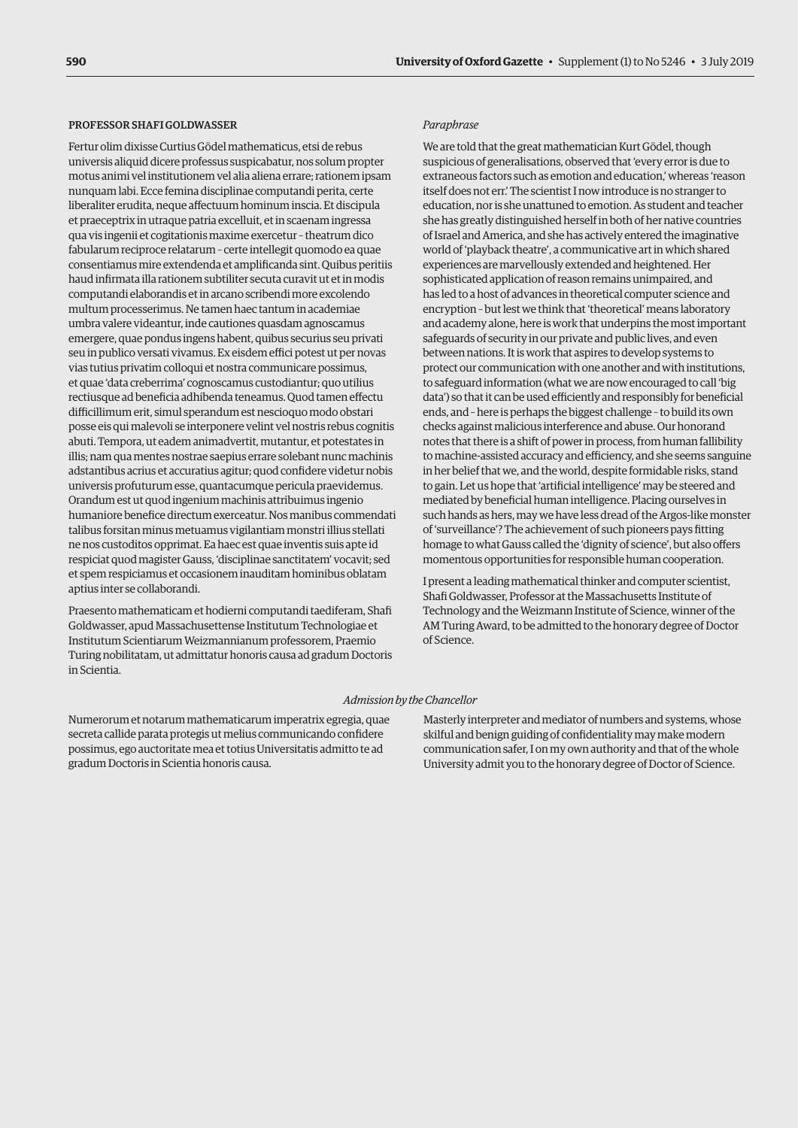#### PROFESSOR SHAFI GOLDWASSER

Fertur olim dixisse Curtius Gödel mathematicus, etsi de rebus universis aliquid dicere professus suspicabatur, nos solum propter motus animi vel institutionem vel alia aliena errare; rationem ipsam nunquam labi. Ecce femina disciplinae computandi perita, certe liberaliter erudita, neque affectuum hominum inscia. Et discipula et praeceptrix in utraque patria excelluit, et in scaenam ingressa qua vis ingenii et cogitationis maxime exercetur – theatrum dico fabularum reciproce relatarum – certe intellegit quomodo ea quae consentiamus mire extendenda et amplificanda sint. Quibus peritiis haud infirmata illa rationem subtiliter secuta curavit ut et in modis computandi elaborandis et in arcano scribendi more excolendo multum processerimus. Ne tamen haec tantum in academiae umbra valere videantur, inde cautiones quasdam agnoscamus emergere, quae pondus ingens habent, quibus securius seu privati seu in publico versati vivamus. Ex eisdem effici potest ut per novas vias tutius privatim colloqui et nostra communicare possimus, et quae 'data creberrima' cognoscamus custodiantur; quo utilius rectiusque ad beneficia adhibenda teneamus. Quod tamen effectu difficillimum erit, simul sperandum est nescioquo modo obstari posse eis qui malevoli se interponere velint vel nostris rebus cognitis abuti. Tempora, ut eadem animadvertit, mutantur, et potestates in illis; nam qua mentes nostrae saepius errare solebant nunc machinis adstantibus acrius et accuratius agitur; quod confidere videtur nobis universis profuturum esse, quantacumque pericula praevidemus. Orandum est ut quod ingenium machinis attribuimus ingenio humaniore benefice directum exerceatur. Nos manibus commendati talibus forsitan minus metuamus vigilantiam monstri illius stellati ne nos custoditos opprimat. Ea haec est quae inventis suis apte id respiciat quod magister Gauss, 'disciplinae sanctitatem' vocavit; sed et spem respiciamus et occasionem inauditam hominibus oblatam aptius inter se collaborandi.

Praesento mathematicam et hodierni computandi taediferam, Shafi Goldwasser, apud Massachusettense Institutum Technologiae et Institutum Scientiarum Weizmannianum professorem, Praemio Turing nobilitatam, ut admittatur honoris causa ad gradum Doctoris in Scientia.

#### *Paraphrase*

We are told that the great mathematician Kurt Gödel, though suspicious of generalisations, observed that 'every error is due to extraneous factors such as emotion and education,' whereas 'reason itself does not err.' The scientist I now introduce is no stranger to education, nor is she unattuned to emotion. As student and teacher she has greatly distinguished herself in both of her native countries of Israel and America, and she has actively entered the imaginative world of 'playback theatre', a communicative art in which shared experiences are marvellously extended and heightened. Her sophisticated application of reason remains unimpaired, and has led to a host of advances in theoretical computer science and encryption – but lest we think that 'theoretical' means laboratory and academy alone, here is work that underpins the most important safeguards of security in our private and public lives, and even between nations. It is work that aspires to develop systems to protect our communication with one another and with institutions, to safeguard information (what we are now encouraged to call 'big data') so that it can be used efficiently and responsibly for beneficial ends, and – here is perhaps the biggest challenge – to build its own checks against malicious interference and abuse. Our honorand notes that there is a shift of power in process, from human fallibility to machine-assisted accuracy and efficiency, and she seems sanguine in her belief that we, and the world, despite formidable risks, stand to gain. Let us hope that 'artificial intelligence' may be steered and mediated by beneficial human intelligence. Placing ourselves in such hands as hers, may we have less dread of the Argos-like monster of 'surveillance'? The achievement of such pioneers pays fitting homage to what Gauss called the 'dignity of science', but also offers momentous opportunities for responsible human cooperation.

I present a leading mathematical thinker and computer scientist, Shafi Goldwasser, Professor at the Massachusetts Institute of Technology and the Weizmann Institute of Science, winner of the AM Turing Award, to be admitted to the honorary degree of Doctor of Science.

#### *Admission by the Chancellor*

Numerorum et notarum mathematicarum imperatrix egregia, quae secreta callide parata protegis ut melius communicando confidere possimus, ego auctoritate mea et totius Universitatis admitto te ad gradum Doctoris in Scientia honoris causa.

Masterly interpreter and mediator of numbers and systems, whose skilful and benign guiding of confidentiality may make modern communication safer, I on my own authority and that of the whole University admit you to the honorary degree of Doctor of Science.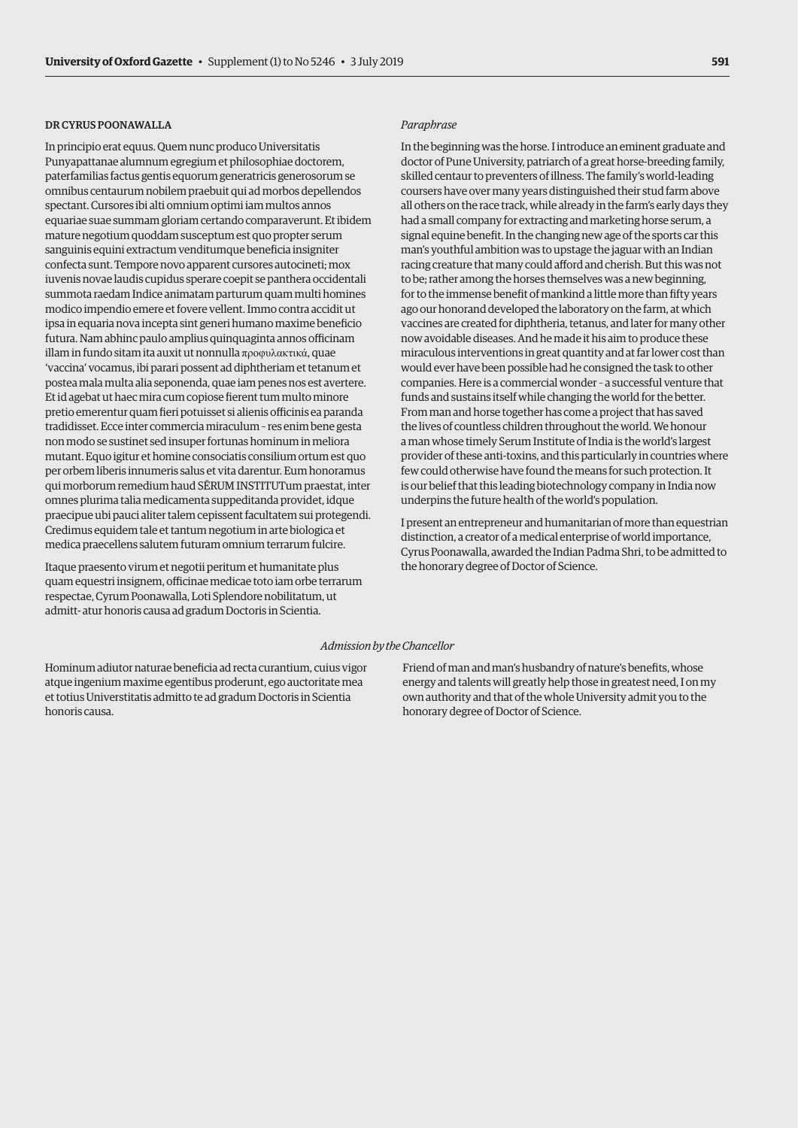# DR CYRUS POONAWALLA

In principio erat equus. Quem nunc produco Universitatis Punyapattanae alumnum egregium et philosophiae doctorem, paterfamilias factus gentis equorum generatricis generosorum se omnibus centaurum nobilem praebuit qui ad morbos depellendos spectant. Cursores ibi alti omnium optimi iam multos annos equariae suae summam gloriam certando comparaverunt. Et ibidem mature negotium quoddam susceptum est quo propter serum sanguinis equini extractum venditumque beneficia insigniter confecta sunt. Tempore novo apparent cursores autocineti; mox iuvenis novae laudis cupidus sperare coepit se panthera occidentali summota raedam Indice animatam parturum quam multi homines modico impendio emere et fovere vellent. Immo contra accidit ut ipsa in equaria nova incepta sint generi humano maxime beneficio futura. Nam abhinc paulo amplius quinquaginta annos officinam illam in fundo sitam ita auxit ut nonnulla προφυλακτικά, quae 'vaccina' vocamus, ibi parari possent ad diphtheriam et tetanum et postea mala multa alia seponenda, quae iam penes nos est avertere. Et id agebat ut haec mira cum copiose fierent tum multo minore pretio emerentur quam fieri potuisset si alienis officinis ea paranda tradidisset. Ecce inter commercia miraculum – res enim bene gesta non modo se sustinet sed insuper fortunas hominum in meliora mutant. Equo igitur et homine consociatis consilium ortum est quo per orbem liberis innumeris salus et vita darentur. Eum honoramus qui morborum remedium haud SĒRUM INSTITUTum praestat, inter omnes plurima talia medicamenta suppeditanda providet, idque praecipue ubi pauci aliter talem cepissent facultatem sui protegendi. Credimus equidem tale et tantum negotium in arte biologica et medica praecellens salutem futuram omnium terrarum fulcire.

Itaque praesento virum et negotii peritum et humanitate plus quam equestri insignem, officinae medicae toto iam orbe terrarum respectae, Cyrum Poonawalla, Loti Splendore nobilitatum, ut admitt- atur honoris causa ad gradum Doctoris in Scientia.

#### *Paraphrase*

In the beginning was the horse. I introduce an eminent graduate and doctor of Pune University, patriarch of a great horse-breeding family, skilled centaur to preventers of illness. The family's world-leading coursers have over many years distinguished their stud farm above all others on the race track, while already in the farm's early days they had a small company for extracting and marketing horse serum, a signal equine benefit. In the changing new age of the sports car this man's youthful ambition was to upstage the jaguar with an Indian racing creature that many could afford and cherish. But this was not to be; rather among the horses themselves was a new beginning, for to the immense benefit of mankind a little more than fifty years ago our honorand developed the laboratory on the farm, at which vaccines are created for diphtheria, tetanus, and later for many other now avoidable diseases. And he made it his aim to produce these miraculous interventions in great quantity and at far lower cost than would ever have been possible had he consigned the task to other companies. Here is a commercial wonder – a successful venture that funds and sustains itself while changing the world for the better. From man and horse together has come a project that has saved the lives of countless children throughout the world. We honour a man whose timely Serum Institute of India is the world's largest provider of these anti-toxins, and this particularly in countries where few could otherwise have found the means for such protection. It is our belief that this leading biotechnology company in India now underpins the future health of the world's population.

I present an entrepreneur and humanitarian of more than equestrian distinction, a creator of a medical enterprise of world importance, Cyrus Poonawalla, awarded the Indian Padma Shri, to be admitted to the honorary degree of Doctor of Science.

#### *Admission by the Chancellor*

Hominum adiutor naturae beneficia ad recta curantium, cuius vigor atque ingenium maxime egentibus proderunt, ego auctoritate mea et totius Universtitatis admitto te ad gradum Doctoris in Scientia honoris causa.

Friend of man and man's husbandry of nature's benefits, whose energy and talents will greatly help those in greatest need, I on my own authority and that of the whole University admit you to the honorary degree of Doctor of Science.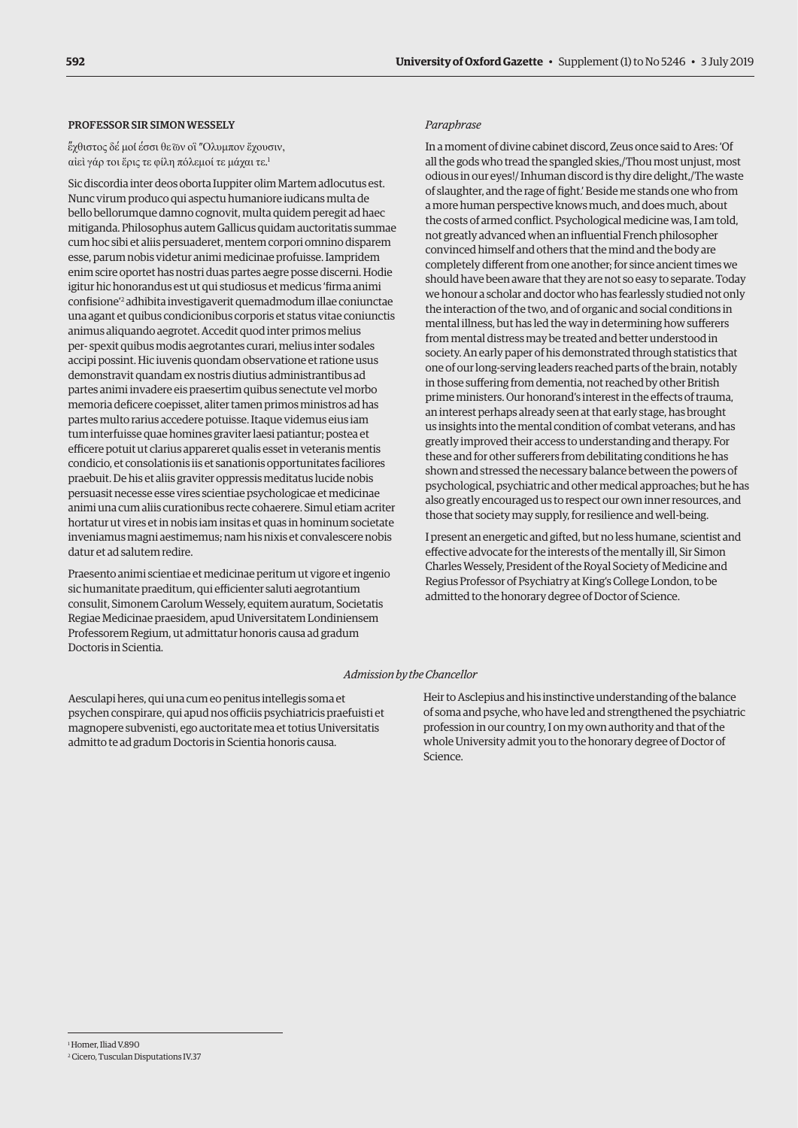# PROFESSOR SIR SIMON WESSELY

έχθιστος δέ μοί έσσι θε ων οἳ "Ολυμπον ἔχουσιν, αἰεὶ γάρ τοι ἔρις τε φίλη πόλεμοί τε μάχαι τε. 1

Sic discordia inter deos oborta Iuppiter olim Martem adlocutus est. Nunc virum produco qui aspectu humaniore iudicans multa de bello bellorumque damno cognovit, multa quidem peregit ad haec mitiganda. Philosophus autem Gallicus quidam auctoritatis summae cum hoc sibi et aliis persuaderet, mentem corpori omnino disparem esse, parum nobis videtur animi medicinae profuisse. Iampridem enim scire oportet has nostri duas partes aegre posse discerni. Hodie igitur hic honorandus est ut qui studiosus et medicus 'firma animi confisione'2 adhibita investigaverit quemadmodum illae coniunctae una agant et quibus condicionibus corporis et status vitae coniunctis animus aliquando aegrotet. Accedit quod inter primos melius per- spexit quibus modis aegrotantes curari, melius inter sodales accipi possint. Hic iuvenis quondam observatione et ratione usus demonstravit quandam ex nostris diutius administrantibus ad partes animi invadere eis praesertim quibus senectute vel morbo memoria deficere coepisset, aliter tamen primos ministros ad has partes multo rarius accedere potuisse. Itaque videmus eius iam tum interfuisse quae homines graviter laesi patiantur; postea et efficere potuit ut clarius appareret qualis esset in veteranis mentis condicio, et consolationis iis et sanationis opportunitates faciliores praebuit. De his et aliis graviter oppressis meditatus lucide nobis persuasit necesse esse vires scientiae psychologicae et medicinae animi una cum aliis curationibus recte cohaerere. Simul etiam acriter hortatur ut vires et in nobis iam insitas et quas in hominum societate inveniamus magni aestimemus; nam his nixis et convalescere nobis datur et ad salutem redire.

Praesento animi scientiae et medicinae peritum ut vigore et ingenio sic humanitate praeditum, qui efficienter saluti aegrotantium consulit, Simonem Carolum Wessely, equitem auratum, Societatis Regiae Medicinae praesidem, apud Universitatem Londiniensem Professorem Regium, ut admittatur honoris causa ad gradum Doctoris in Scientia.

#### *Paraphrase*

In a moment of divine cabinet discord, Zeus once said to Ares: 'Of all the gods who tread the spangled skies,/Thou most unjust, most odious in our eyes!/ Inhuman discord is thy dire delight,/The waste of slaughter, and the rage of fight.' Beside me stands one who from a more human perspective knows much, and does much, about the costs of armed conflict. Psychological medicine was, I am told, not greatly advanced when an influential French philosopher convinced himself and others that the mind and the body are completely different from one another; for since ancient times we should have been aware that they are not so easy to separate. Today we honour a scholar and doctor who has fearlessly studied not only the interaction of the two, and of organic and social conditions in mental illness, but has led the way in determining how sufferers from mental distress may be treated and better understood in society. An early paper of his demonstrated through statistics that one of our long-serving leaders reached parts of the brain, notably in those suffering from dementia, not reached by other British prime ministers. Our honorand's interest in the effects of trauma, an interest perhaps already seen at that early stage, has brought us insights into the mental condition of combat veterans, and has greatly improved their access to understanding and therapy. For these and for other sufferers from debilitating conditions he has shown and stressed the necessary balance between the powers of psychological, psychiatric and other medical approaches; but he has also greatly encouraged us to respect our own inner resources, and those that society may supply, for resilience and well-being.

I present an energetic and gifted, but no less humane, scientist and effective advocate for the interests of the mentally ill, Sir Simon Charles Wessely, President of the Royal Society of Medicine and Regius Professor of Psychiatry at King's College London, to be admitted to the honorary degree of Doctor of Science.

#### *Admission by the Chancellor*

Aesculapi heres, qui una cum eo penitus intellegis soma et psychen conspirare, qui apud nos officiis psychiatricis praefuisti et magnopere subvenisti, ego auctoritate mea et totius Universitatis admitto te ad gradum Doctoris in Scientia honoris causa.

Heir to Asclepius and his instinctive understanding of the balance of soma and psyche, who have led and strengthened the psychiatric profession in our country, I on my own authority and that of the whole University admit you to the honorary degree of Doctor of Science.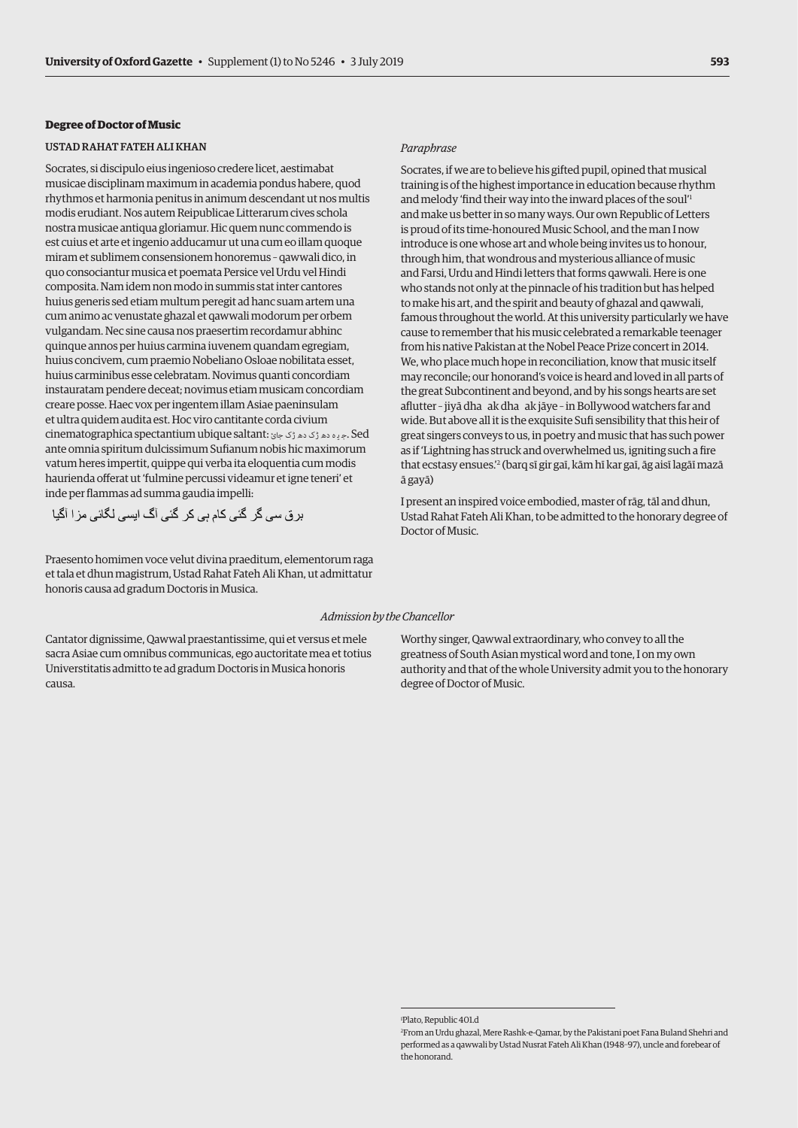# **Degree of Doctor of Music**

#### USTAD RAHAT FATEH ALI KHAN

Socrates, si discipulo eius ingenioso credere licet, aestimabat musicae disciplinam maximum in academia pondus habere, quod rhythmos et harmonia penitus in animum descendant ut nos multis modis erudiant. Nos autem Reipublicae Litterarum cives schola nostra musicae antiqua gloriamur. Hic quem nunc commendo is est cuius et arte et ingenio adducamur ut una cum eo illam quoque miram et sublimem consensionem honoremus – qawwali dico, in quo consociantur musica et poemata Persice vel Urdu vel Hindi composita. Nam idem non modo in summis stat inter cantores huius generis sed etiam multum peregit ad hanc suam artem una cum animo ac venustate ghazal et qawwali modorum per orbem vulgandam. Nec sine causa nos praesertim recordamur abhinc quinque annos per huius carmina iuvenem quandam egregiam, huius concivem, cum praemio Nobeliano Osloae nobilitata esset, huius carminibus esse celebratam. Novimus quanti concordiam instauratam pendere deceat; novimus etiam musicam concordiam creare posse. Haec vox per ingentem illam Asiae paeninsulam et ultra quidem audita est. Hoc viro cantitante corda civium cinematographica spectantium ubique saltant: جيده دھ ڑک جائ ante omnia spiritum dulcissimum Sufianum nobis hic maximorum vatum heres impertit, quippe qui verba ita eloquentia cum modis haurienda offerat ut 'fulmine percussi videamur et igne teneri' et inde per flammas ad summa gaudia impelli:

Praesento homimen voce velut divina praeditum, elementorum raga et tala et dhun magistrum, Ustad Rahat Fateh Ali Khan, ut admittatur honoris causa ad gradum Doctoris in Musica.

#### *Paraphrase*

Socrates, if we are to believe his gifted pupil, opined that musical training is of the highest importance in education because rhythm and melody 'find their way into the inward places of the soul'1 and make us better in so many ways. Our own Republic of Letters is proud of its time-honoured Music School, and the man I now introduce is one whose art and whole being invites us to honour, through him, that wondrous and mysterious alliance of music and Farsi, Urdu and Hindi letters that forms qawwali. Here is one who stands not only at the pinnacle of his tradition but has helped to make his art, and the spirit and beauty of ghazal and qawwali, famous throughout the world. At this university particularly we have cause to remember that his music celebrated a remarkable teenager from his native Pakistan at the Nobel Peace Prize concert in 2014. We, who place much hope in reconciliation, know that music itself may reconcile; our honorand's voice is heard and loved in all parts of the great Subcontinent and beyond, and by his songs hearts are set aflutter - jiyā dha ak dha ak jāye - in Bollywood watchers far and wide. But above all it is the exquisite Sufi sensibility that this heir of great singers conveys to us, in poetry and music that has such power as if 'Lightning has struck and overwhelmed us, igniting such a fire that ecstasy ensues.'2 (barq sī gir gaī, kām hī kar gaī, āg aisī lagāī mazā ā gayā)

I present an inspired voice embodied, master of rāg, tāl and dhun, Ustad Rahat Fateh Ali Khan, to be admitted to the honorary degree of Doctor of Music.

#### *Admission by the Chancellor*

Cantator dignissime, Qawwal praestantissime, qui et versus et mele sacra Asiae cum omnibus communicas, ego auctoritate mea et totius Universtitatis admitto te ad gradum Doctoris in Musica honoris causa.

Worthy singer, Qawwal extraordinary, who convey to all the greatness of South Asian mystical word and tone, I on my own authority and that of the whole University admit you to the honorary degree of Doctor of Music.

<sup>1</sup> Plato, Republic 401.d

<sup>2</sup> From an Urdu ghazal, Mere Rashk-e-Qamar, by the Pakistani poet Fana Buland Shehri and performed as a qawwali by Ustad Nusrat Fateh Ali Khan (1948–97), uncle and forebear of the honorand.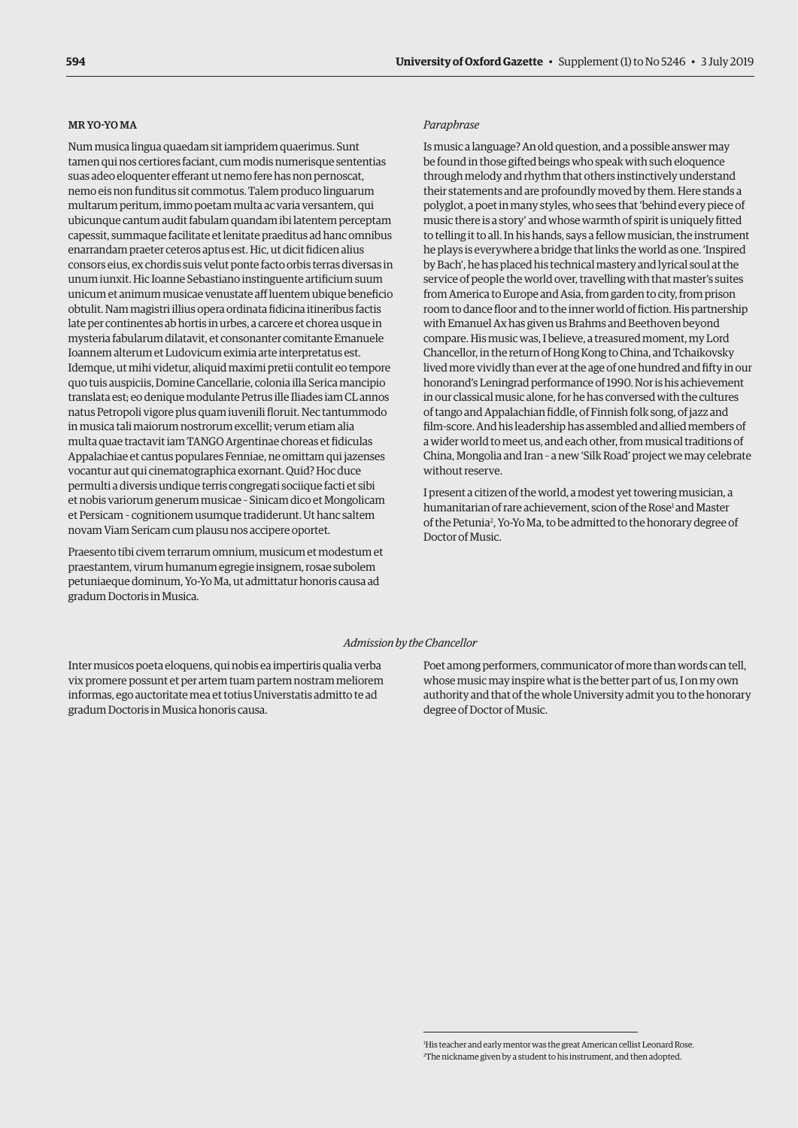#### MR YO-YO MA

Num musica lingua quaedam sit iampridem quaerimus. Sunt tamen qui nos certiores faciant, cum modis numerisque sententias suas adeo eloquenter efferant ut nemo fere has non pernoscat, nemo eis non funditus sit commotus. Talem produco linguarum multarum peritum, immo poetam multa ac varia versantem, qui ubicunque cantum audit fabulam quandam ibi latentem perceptam capessit, summaque facilitate et lenitate praeditus ad hanc omnibus enarrandam praeter ceteros aptus est. Hic, ut dicit fidicen alius consors eius, ex chordis suis velut ponte facto orbis terras diversas in unum iunxit. Hic Ioanne Sebastiano instinguente artificium suum unicum et animum musicae venustate aff luentem ubique beneficio obtulit. Nam magistri illius opera ordinata fidicina itineribus factis late per continentes ab hortis in urbes, a carcere et chorea usque in mysteria fabularum dilatavit, et consonanter comitante Emanuele Ioannem alterum et Ludovicum eximia arte interpretatus est. Idemque, ut mihi videtur, aliquid maximi pretii contulit eo tempore quo tuis auspiciis, Domine Cancellarie, colonia illa Serica mancipio translata est; eo denique modulante Petrus ille Iliades iam CL annos natus Petropoli vigore plus quam iuvenili floruit. Nec tantummodo in musica tali maiorum nostrorum excellit; verum etiam alia multa quae tractavit iam TANGO Argentinae choreas et fidiculas Appalachiae et cantus populares Fenniae, ne omittam qui jazenses vocantur aut qui cinematographica exornant. Quid? Hoc duce permulti a diversis undique terris congregati sociique facti et sibi et nobis variorum generum musicae – Sinicam dico et Mongolicam et Persicam – cognitionem usumque tradiderunt. Ut hanc saltem novam Viam Sericam cum plausu nos accipere oportet.

Praesento tibi civem terrarum omnium, musicum et modestum et praestantem, virum humanum egregie insignem, rosae subolem petuniaeque dominum, Yo-Yo Ma, ut admittatur honoris causa ad gradum Doctoris in Musica.

#### *Paraphrase*

Is music a language? An old question, and a possible answer may be found in those gifted beings who speak with such eloquence through melody and rhythm that others instinctively understand their statements and are profoundly moved by them. Here stands a polyglot, a poet in many styles, who sees that 'behind every piece of music there is a story' and whose warmth of spirit is uniquely fitted to telling it to all. In his hands, says a fellow musician, the instrument he plays is everywhere a bridge that links the world as one. 'Inspired by Bach', he has placed his technical mastery and lyrical soul at the service of people the world over, travelling with that master's suites from America to Europe and Asia, from garden to city, from prison room to dance floor and to the inner world of fiction. His partnership with Emanuel Ax has given us Brahms and Beethoven beyond compare. His music was, I believe, a treasured moment, my Lord Chancellor, in the return of Hong Kong to China, and Tchaikovsky lived more vividly than ever at the age of one hundred and fifty in our honorand's Leningrad performance of 1990. Nor is his achievement in our classical music alone, for he has conversed with the cultures of tango and Appalachian fiddle, of Finnish folk song, of jazz and film-score. And his leadership has assembled and allied members of a wider world to meet us, and each other, from musical traditions of China, Mongolia and Iran – a new 'Silk Road' project we may celebrate without reserve.

I present a citizen of the world, a modest yet towering musician, a humanitarian of rare achievement, scion of the Rose<sup>1</sup> and Master of the Petunia<sup>2</sup>, Yo-Yo Ma, to be admitted to the honorary degree of Doctor of Music.

#### *Admission by the Chancellor*

Inter musicos poeta eloquens, qui nobis ea impertiris qualia verba vix promere possunt et per artem tuam partem nostram meliorem informas, ego auctoritate mea et totius Universtatis admitto te ad gradum Doctoris in Musica honoris causa.

Poet among performers, communicator of more than words can tell, whose music may inspire what is the better part of us, I on my own authority and that of the whole University admit you to the honorary degree of Doctor of Music.

<sup>1</sup> His teacher and early mentor was the great American cellist Leonard Rose. 2 The nickname given by a student to his instrument, and then adopted.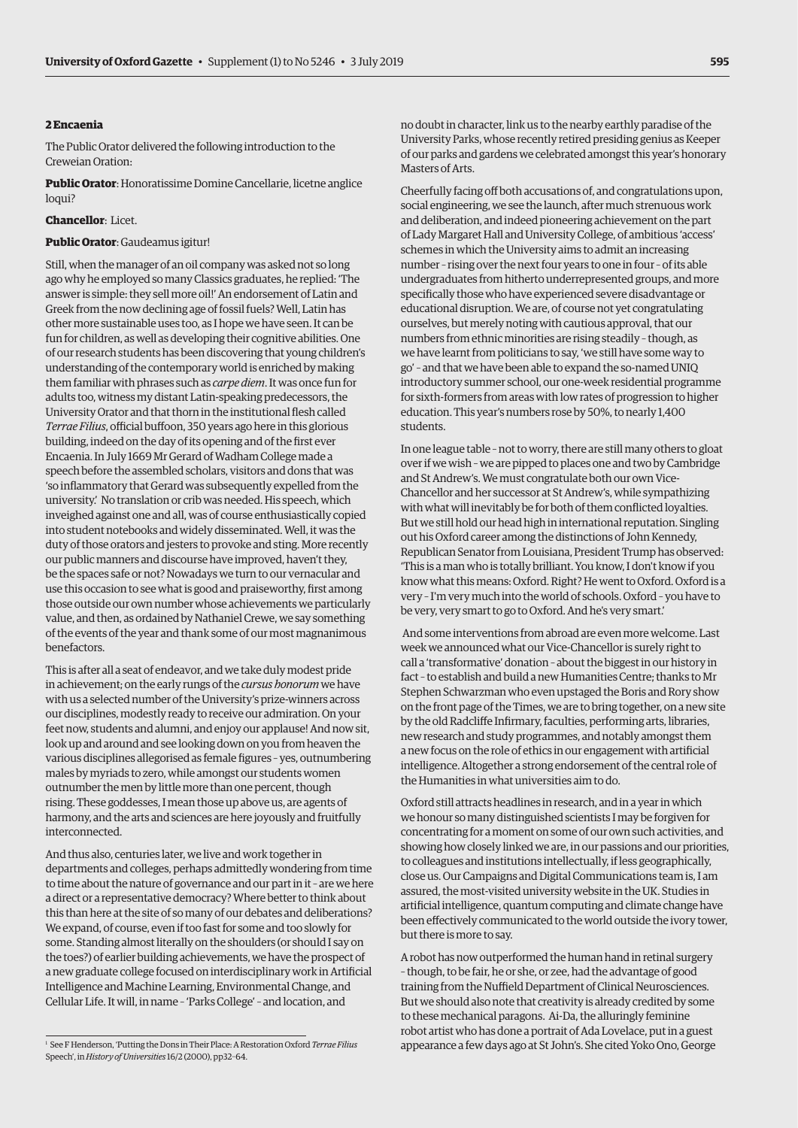# **2 Encaenia**

The Public Orator delivered the following introduction to the Creweian Oration:

**Public Orator**: Honoratissime Domine Cancellarie, licetne anglice loqui?

#### **Chancellor**: Licet.

#### **Public Orator**: Gaudeamus igitur!

Still, when the manager of an oil company was asked not so long ago why he employed so many Classics graduates, he replied: 'The answer is simple: they sell more oil!' An endorsement of Latin and Greek from the now declining age of fossil fuels? Well, Latin has other more sustainable uses too, as I hope we have seen. It can be fun for children, as well as developing their cognitive abilities. One of our research students has been discovering that young children's understanding of the contemporary world is enriched by making them familiar with phrases such as *carpe diem*. It was once fun for adults too, witness my distant Latin-speaking predecessors, the University Orator and that thorn in the institutional flesh called *Terrae Filius*, official buffoon, 350 years ago here in this glorious building, indeed on the day of its opening and of the first ever Encaenia. In July 1669 Mr Gerard of Wadham College made a speech before the assembled scholars, visitors and dons that was 'so inflammatory that Gerard was subsequently expelled from the university.' No translation or crib was needed. His speech, which inveighed against one and all, was of course enthusiastically copied into student notebooks and widely disseminated. Well, it was the duty of those orators and jesters to provoke and sting. More recently our public manners and discourse have improved, haven't they, be the spaces safe or not? Nowadays we turn to our vernacular and use this occasion to see what is good and praiseworthy, first among those outside our own number whose achievements we particularly value, and then, as ordained by Nathaniel Crewe, we say something of the events of the year and thank some of our most magnanimous benefactors.

This is after all a seat of endeavor, and we take duly modest pride in achievement; on the early rungs of the *cursus honorum* we have with us a selected number of the University's prize-winners across our disciplines, modestly ready to receive our admiration. On your feet now, students and alumni, and enjoy our applause! And now sit, look up and around and see looking down on you from heaven the various disciplines allegorised as female figures – yes, outnumbering males by myriads to zero, while amongst our students women outnumber the men by little more than one percent, though rising. These goddesses, I mean those up above us, are agents of harmony, and the arts and sciences are here joyously and fruitfully interconnected.

And thus also, centuries later, we live and work together in departments and colleges, perhaps admittedly wondering from time to time about the nature of governance and our part in it – are we here a direct or a representative democracy? Where better to think about this than here at the site of so many of our debates and deliberations? We expand, of course, even if too fast for some and too slowly for some. Standing almost literally on the shoulders (or should I say on the toes?) of earlier building achievements, we have the prospect of a new graduate college focused on interdisciplinary work in Artificial Intelligence and Machine Learning, Environmental Change, and Cellular Life. It will, in name – 'Parks College' – and location, and

no doubt in character, link us to the nearby earthly paradise of the University Parks, whose recently retired presiding genius as Keeper of our parks and gardens we celebrated amongst this year's honorary Masters of Arts.

Cheerfully facing off both accusations of, and congratulations upon, social engineering, we see the launch, after much strenuous work and deliberation, and indeed pioneering achievement on the part of Lady Margaret Hall and University College, of ambitious 'access' schemes in which the University aims to admit an increasing number – rising over the next four years to one in four – of its able undergraduates from hitherto underrepresented groups, and more specifically those who have experienced severe disadvantage or educational disruption. We are, of course not yet congratulating ourselves, but merely noting with cautious approval, that our numbers from ethnic minorities are rising steadily – though, as we have learnt from politicians to say, 'we still have some way to go' – and that we have been able to expand the so-named UNIQ introductory summer school, our one-week residential programme for sixth-formers from areas with low rates of progression to higher education. This year's numbers rose by 50%, to nearly 1,400 students.

In one league table – not to worry, there are still many others to gloat over if we wish – we are pipped to places one and two by Cambridge and St Andrew's. We must congratulate both our own Vice-Chancellor and her successor at St Andrew's, while sympathizing with what will inevitably be for both of them conflicted loyalties. But we still hold our head high in international reputation. Singling out his Oxford career among the distinctions of John Kennedy, Republican Senator from Louisiana, President Trump has observed: 'This is a man who is totally brilliant. You know, I don't know if you know what this means: Oxford. Right? He went to Oxford. Oxford is a very – I'm very much into the world of schools. Oxford – you have to be very, very smart to go to Oxford. And he's very smart.'

 And some interventions from abroad are even more welcome. Last week we announced what our Vice-Chancellor is surely right to call a 'transformative' donation – about the biggest in our history in fact – to establish and build a new Humanities Centre; thanks to Mr Stephen Schwarzman who even upstaged the Boris and Rory show on the front page of the Times, we are to bring together, on a new site by the old Radcliffe Infirmary, faculties, performing arts, libraries, new research and study programmes, and notably amongst them a new focus on the role of ethics in our engagement with artificial intelligence. Altogether a strong endorsement of the central role of the Humanities in what universities aim to do.

Oxford still attracts headlines in research, and in a year in which we honour so many distinguished scientists I may be forgiven for concentrating for a moment on some of our own such activities, and showing how closely linked we are, in our passions and our priorities, to colleagues and institutions intellectually, if less geographically, close us. Our Campaigns and Digital Communications team is, I am assured, the most-visited university website in the UK. Studies in artificial intelligence, quantum computing and climate change have been effectively communicated to the world outside the ivory tower, but there is more to say.

A robot has now outperformed the human hand in retinal surgery – though, to be fair, he or she, or zee, had the advantage of good training from the Nuffield Department of Clinical Neurosciences. But we should also note that creativity is already credited by some to these mechanical paragons. Ai-Da, the alluringly feminine robot artist who has done a portrait of Ada Lovelace, put in a guest appearance a few days ago at St John's. She cited Yoko Ono, George 1

<sup>&</sup>lt;sup>1</sup> See F Henderson, 'Putting the Dons in Their Place: A Restoration Oxford *Terrae Filius* Speech', in *History of Universities* 16/2 (2000), pp32–64.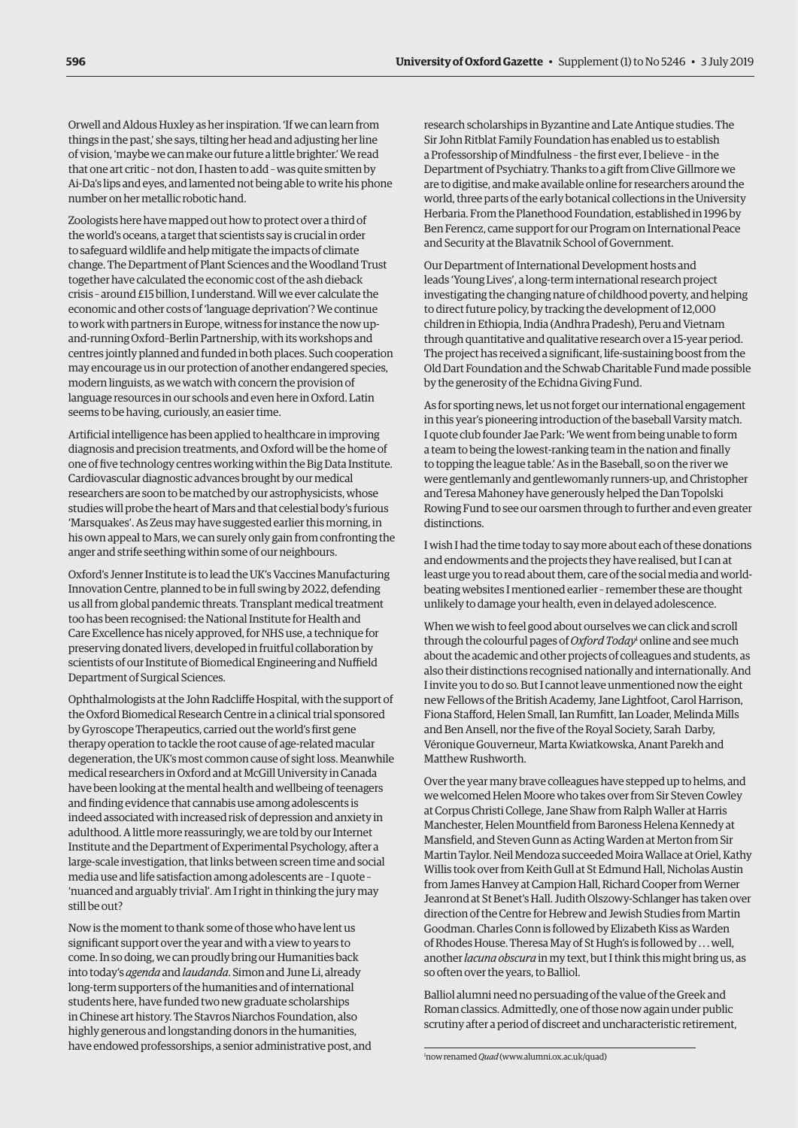Orwell and Aldous Huxley as her inspiration. 'If we can learn from things in the past,' she says, tilting her head and adjusting her line of vision, 'maybe we can make our future a little brighter.' We read that one art critic – not don, I hasten to add – was quite smitten by Ai-Da's lips and eyes, and lamented not being able to write his phone number on her metallic robotic hand.

Zoologists here have mapped out how to protect over a third of the world's oceans, a target that scientists say is crucial in order to safeguard wildlife and help mitigate the impacts of climate change. The Department of Plant Sciences and the Woodland Trust together have calculated the economic cost of the ash dieback crisis – around £15 billion, I understand. Will we ever calculate the economic and other costs of 'language deprivation'? We continue to work with partners in Europe, witness for instance the now upand-running Oxford–Berlin Partnership, with its workshops and centres jointly planned and funded in both places. Such cooperation may encourage us in our protection of another endangered species, modern linguists, as we watch with concern the provision of language resources in our schools and even here in Oxford. Latin seems to be having, curiously, an easier time.

Artificial intelligence has been applied to healthcare in improving diagnosis and precision treatments, and Oxford will be the home of one of five technology centres working within the Big Data Institute. Cardiovascular diagnostic advances brought by our medical researchers are soon to be matched by our astrophysicists, whose studies will probe the heart of Mars and that celestial body's furious 'Marsquakes'. As Zeus may have suggested earlier this morning, in his own appeal to Mars, we can surely only gain from confronting the anger and strife seething within some of our neighbours.

Oxford's Jenner Institute is to lead the UK's Vaccines Manufacturing Innovation Centre, planned to be in full swing by 2022, defending us all from global pandemic threats. Transplant medical treatment too has been recognised: the National Institute for Health and Care Excellence has nicely approved, for NHS use, a technique for preserving donated livers, developed in fruitful collaboration by scientists of our Institute of Biomedical Engineering and Nuffield Department of Surgical Sciences.

Ophthalmologists at the John Radcliffe Hospital, with the support of the Oxford Biomedical Research Centre in a clinical trial sponsored by Gyroscope Therapeutics, carried out the world's first gene therapy operation to tackle the root cause of age-related macular degeneration, the UK's most common cause of sight loss. Meanwhile medical researchers in Oxford and at McGill University in Canada have been looking at the mental health and wellbeing of teenagers and finding evidence that cannabis use among adolescents is indeed associated with increased risk of depression and anxiety in adulthood. A little more reassuringly, we are told by our Internet Institute and the Department of Experimental Psychology, after a large-scale investigation, that links between screen time and social media use and life satisfaction among adolescents are – I quote – 'nuanced and arguably trivial'. Am I right in thinking the jury may still be out?

Now is the moment to thank some of those who have lent us significant support over the year and with a view to years to come. In so doing, we can proudly bring our Humanities back into today's *agenda* and *laudanda*. Simon and June Li, already long-term supporters of the humanities and of international students here, have funded two new graduate scholarships in Chinese art history. The Stavros Niarchos Foundation, also highly generous and longstanding donors in the humanities, have endowed professorships, a senior administrative post, and research scholarships in Byzantine and Late Antique studies. The Sir John Ritblat Family Foundation has enabled us to establish a Professorship of Mindfulness – the first ever, I believe – in the Department of Psychiatry. Thanks to a gift from Clive Gillmore we are to digitise, and make available online for researchers around the world, three parts of the early botanical collections in the University Herbaria. From the Planethood Foundation, established in 1996 by Ben Ferencz, came support for our Program on International Peace and Security at the Blavatnik School of Government.

Our Department of International Development hosts and leads 'Young Lives', a long-term international research project investigating the changing nature of childhood poverty, and helping to direct future policy, by tracking the development of 12,000 children in Ethiopia, India (Andhra Pradesh), Peru and Vietnam through quantitative and qualitative research over a 15-year period. The project has received a significant, life-sustaining boost from the Old Dart Foundation and the Schwab Charitable Fund made possible by the generosity of the Echidna Giving Fund.

As for sporting news, let us not forget our international engagement in this year's pioneering introduction of the baseball Varsity match. I quote club founder Jae Park: 'We went from being unable to form a team to being the lowest-ranking team in the nation and finally to topping the league table.' As in the Baseball, so on the river we were gentlemanly and gentlewomanly runners-up, and Christopher and Teresa Mahoney have generously helped the Dan Topolski Rowing Fund to see our oarsmen through to further and even greater distinctions.

I wish I had the time today to say more about each of these donations and endowments and the projects they have realised, but I can at least urge you to read about them, care of the social media and worldbeating websites I mentioned earlier – remember these are thought unlikely to damage your health, even in delayed adolescence.

When we wish to feel good about ourselves we can click and scroll through the colourful pages of *Oxford Today*<sup>1</sup> online and see much about the academic and other projects of colleagues and students, as also their distinctions recognised nationally and internationally. And I invite you to do so. But I cannot leave unmentioned now the eight new Fellows of the British Academy, Jane Lightfoot, Carol Harrison, Fiona Stafford, Helen Small, Ian Rumfitt, Ian Loader, Melinda Mills and Ben Ansell, nor the five of the Royal Society, Sarah Darby, Véronique Gouverneur, Marta Kwiatkowska, Anant Parekh and Matthew Rushworth.

Over the year many brave colleagues have stepped up to helms, and we welcomed Helen Moore who takes over from Sir Steven Cowley at Corpus Christi College, Jane Shaw from Ralph Waller at Harris Manchester, Helen Mountfield from Baroness Helena Kennedy at Mansfield, and Steven Gunn as Acting Warden at Merton from Sir Martin Taylor. Neil Mendoza succeeded Moira Wallace at Oriel, Kathy Willis took over from Keith Gull at St Edmund Hall, Nicholas Austin from James Hanvey at Campion Hall, Richard Cooper from Werner Jeanrond at St Benet's Hall. Judith Olszowy-Schlanger has taken over direction of the Centre for Hebrew and Jewish Studies from Martin Goodman. Charles Conn is followed by Elizabeth Kiss as Warden of Rhodes House. Theresa May of St Hugh's is followed by . . . well, another *lacuna obscura* in my text, but I think this might bring us, as so often over the years, to Balliol.

Balliol alumni need no persuading of the value of the Greek and Roman classics. Admittedly, one of those now again under public scrutiny after a period of discreet and uncharacteristic retirement,

1 now renamed *Quad* ([www.alumni.ox.ac.uk/quad\)](http://www.alumni.ox.ac.uk/quad)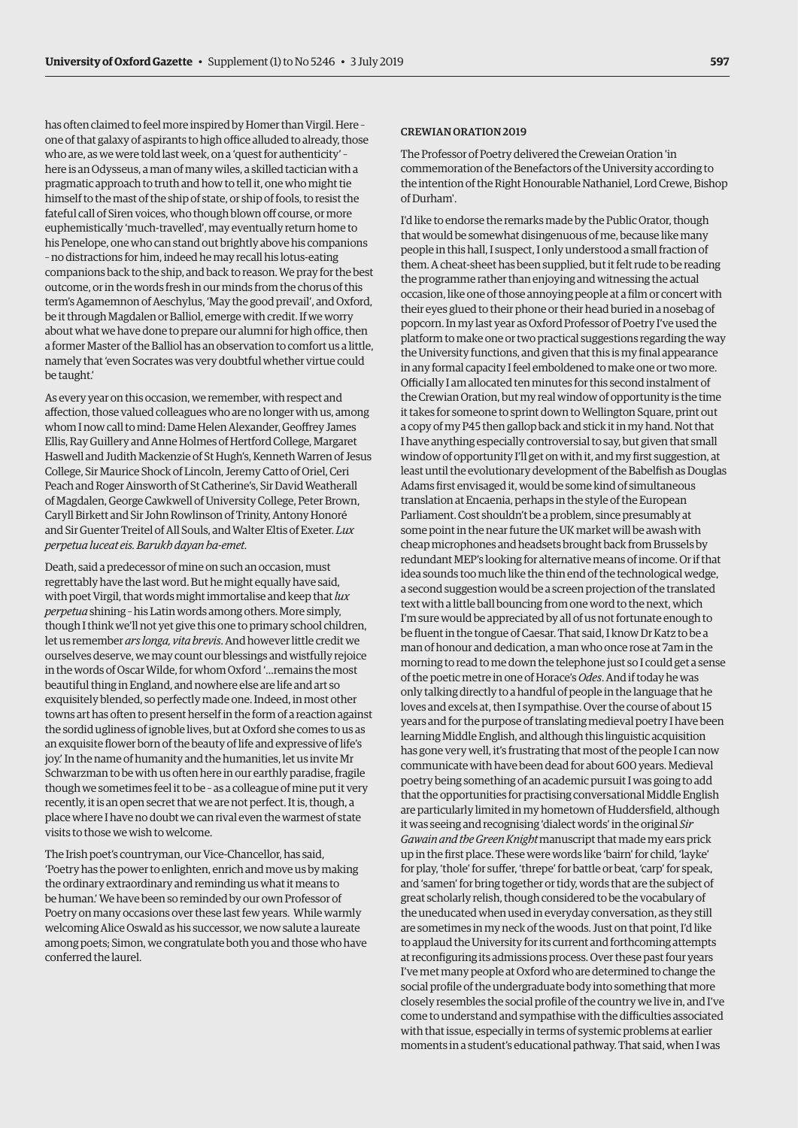has often claimed to feel more inspired by Homer than Virgil. Here – one of that galaxy of aspirants to high office alluded to already, those who are, as we were told last week, on a 'quest for authenticity' – here is an Odysseus, a man of many wiles, a skilled tactician with a pragmatic approach to truth and how to tell it, one who might tie himself to the mast of the ship of state, or ship of fools, to resist the fateful call of Siren voices, who though blown off course, or more euphemistically 'much-travelled', may eventually return home to his Penelope, one who can stand out brightly above his companions – no distractions for him, indeed he may recall his lotus-eating companions back to the ship, and back to reason. We pray for the best outcome, or in the words fresh in our minds from the chorus of this term's Agamemnon of Aeschylus, 'May the good prevail', and Oxford, be it through Magdalen or Balliol, emerge with credit. If we worry about what we have done to prepare our alumni for high office, then a former Master of the Balliol has an observation to comfort us a little, namely that 'even Socrates was very doubtful whether virtue could be taught.'

As every year on this occasion, we remember, with respect and affection, those valued colleagues who are no longer with us, among whom I now call to mind: Dame Helen Alexander, Geoffrey James Ellis, Ray Guillery and Anne Holmes of Hertford College, Margaret Haswell and Judith Mackenzie of St Hugh's, Kenneth Warren of Jesus College, Sir Maurice Shock of Lincoln, Jeremy Catto of Oriel, Ceri Peach and Roger Ainsworth of St Catherine's, Sir David Weatherall of Magdalen, George Cawkwell of University College, Peter Brown, Caryll Birkett and Sir John Rowlinson of Trinity, Antony Honoré and Sir Guenter Treitel of All Souls, and Walter Eltis of Exeter. *Lux perpetua luceat eis. Barukh dayan ha-emet*.

Death, said a predecessor of mine on such an occasion, must regrettably have the last word. But he might equally have said, with poet Virgil, that words might immortalise and keep that *lux perpetua* shining – his Latin words among others. More simply, though I think we'll not yet give this one to primary school children, let us remember *ars longa, vita brevis*. And however little credit we ourselves deserve, we may count our blessings and wistfully rejoice in the words of Oscar Wilde, for whom Oxford '…remains the most beautiful thing in England, and nowhere else are life and art so exquisitely blended, so perfectly made one. Indeed, in most other towns art has often to present herself in the form of a reaction against the sordid ugliness of ignoble lives, but at Oxford she comes to us as an exquisite flower born of the beauty of life and expressive of life's joy.' In the name of humanity and the humanities, let us invite Mr Schwarzman to be with us often here in our earthly paradise, fragile though we sometimes feel it to be – as a colleague of mine put it very recently, it is an open secret that we are not perfect. It is, though, a place where I have no doubt we can rival even the warmest of state visits to those we wish to welcome.

The Irish poet's countryman, our Vice-Chancellor, has said, 'Poetry has the power to enlighten, enrich and move us by making the ordinary extraordinary and reminding us what it means to be human.' We have been so reminded by our own Professor of Poetry on many occasions over these last few years. While warmly welcoming Alice Oswald as his successor, we now salute a laureate among poets; Simon, we congratulate both you and those who have conferred the laurel.

#### CREWIAN ORATION 2019

The Professor of Poetry delivered the Creweian Oration 'in commemoration of the Benefactors of the University according to the intention of the Right Honourable Nathaniel, Lord Crewe, Bishop of Durham'.

I'd like to endorse the remarks made by the Public Orator, though that would be somewhat disingenuous of me, because like many people in this hall, I suspect, I only understood a small fraction of them. A cheat-sheet has been supplied, but it felt rude to be reading the programme rather than enjoying and witnessing the actual occasion, like one of those annoying people at a film or concert with their eyes glued to their phone or their head buried in a nosebag of popcorn. In my last year as Oxford Professor of Poetry I've used the platform to make one or two practical suggestions regarding the way the University functions, and given that this is my final appearance in any formal capacity I feel emboldened to make one or two more. Officially I am allocated ten minutes for this second instalment of the Crewian Oration, but my real window of opportunity is the time it takes for someone to sprint down to Wellington Square, print out a copy of my P45 then gallop back and stick it in my hand. Not that I have anything especially controversial to say, but given that small window of opportunity I'll get on with it, and my first suggestion, at least until the evolutionary development of the Babelfish as Douglas Adams first envisaged it, would be some kind of simultaneous translation at Encaenia, perhaps in the style of the European Parliament. Cost shouldn't be a problem, since presumably at some point in the near future the UK market will be awash with cheap microphones and headsets brought back from Brussels by redundant MEP's looking for alternative means of income. Or if that idea sounds too much like the thin end of the technological wedge, a second suggestion would be a screen projection of the translated text with a little ball bouncing from one word to the next, which I'm sure would be appreciated by all of us not fortunate enough to be fluent in the tongue of Caesar. That said, I know Dr Katz to be a man of honour and dedication, a man who once rose at 7am in the morning to read to me down the telephone just so I could get a sense of the poetic metre in one of Horace's *Odes*. And if today he was only talking directly to a handful of people in the language that he loves and excels at, then I sympathise. Over the course of about 15 years and for the purpose of translating medieval poetry I have been learning Middle English, and although this linguistic acquisition has gone very well, it's frustrating that most of the people I can now communicate with have been dead for about 600 years. Medieval poetry being something of an academic pursuit I was going to add that the opportunities for practising conversational Middle English are particularly limited in my hometown of Huddersfield, although it was seeing and recognising 'dialect words' in the original *Sir Gawain and the Green Knight* manuscript that made my ears prick up in the first place. These were words like 'bairn' for child, 'layke' for play, 'thole' for suffer, 'threpe' for battle or beat, 'carp' for speak, and 'samen' for bring together or tidy, words that are the subject of great scholarly relish, though considered to be the vocabulary of the uneducated when used in everyday conversation, as they still are sometimes in my neck of the woods. Just on that point, I'd like to applaud the University for its current and forthcoming attempts at reconfiguring its admissions process. Over these past four years I've met many people at Oxford who are determined to change the social profile of the undergraduate body into something that more closely resembles the social profile of the country we live in, and I've come to understand and sympathise with the difficulties associated with that issue, especially in terms of systemic problems at earlier moments in a student's educational pathway. That said, when I was